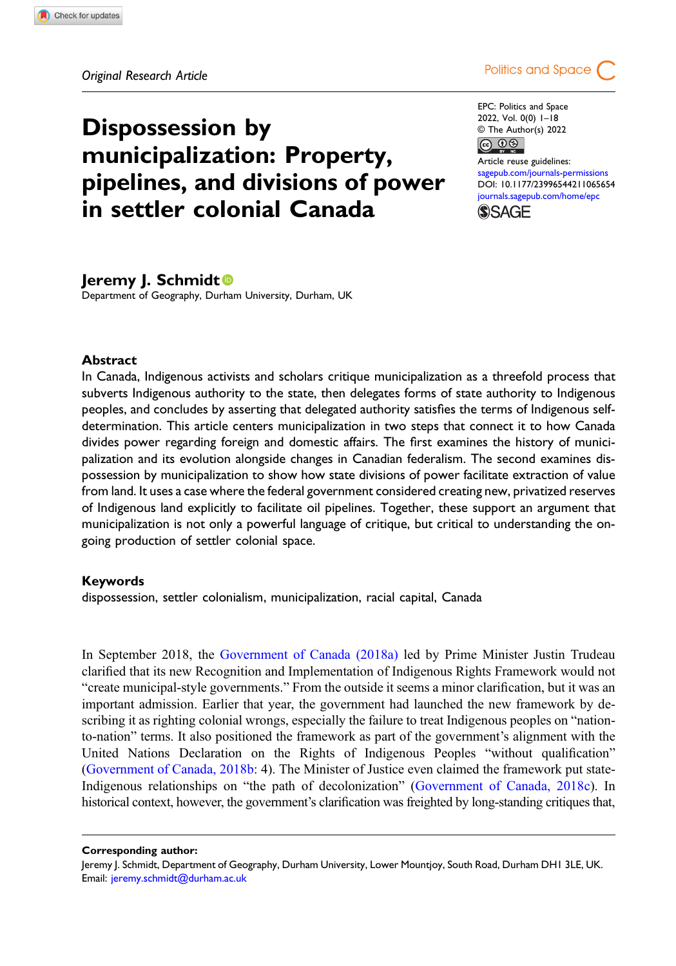Dispossession by



EPC: Politics and Space 2022, Vol. 0(0) 1–18 © The Author(s) 2022  $\circledcirc$   $\circledcirc$ 

Article reuse guidelines: [sagepub.com/journals-permissions](https://uk.sagepub.com/en-gb/journals-permissions) DOI: [10.1177/23996544211065654](https://doi.org/10.1177/23996544211065654) [journals.sagepub.com/home/epc](https://journals.sagepub.com/home/epc) **SSAGF** 

## Jeremy J. Schmidt

Department of Geography, Durham University, Durham, UK

municipalization: Property,

in settler colonial Canada

pipelines, and divisions of power

### Abstract

In Canada, Indigenous activists and scholars critique municipalization as a threefold process that subverts Indigenous authority to the state, then delegates forms of state authority to Indigenous peoples, and concludes by asserting that delegated authority satisfies the terms of Indigenous selfdetermination. This article centers municipalization in two steps that connect it to how Canada divides power regarding foreign and domestic affairs. The first examines the history of municipalization and its evolution alongside changes in Canadian federalism. The second examines dispossession by municipalization to show how state divisions of power facilitate extraction of value from land. It uses a case where the federal government considered creating new, privatized reserves of Indigenous land explicitly to facilitate oil pipelines. Together, these support an argument that municipalization is not only a powerful language of critique, but critical to understanding the ongoing production of settler colonial space.

### Keywords

dispossession, settler colonialism, municipalization, racial capital, Canada

In September 2018, the [Government of Canada \(2018a\)](#page-14-0) led by Prime Minister Justin Trudeau clarified that its new Recognition and Implementation of Indigenous Rights Framework would not "create municipal-style governments." From the outside it seems a minor clarification, but it was an important admission. Earlier that year, the government had launched the new framework by describing it as righting colonial wrongs, especially the failure to treat Indigenous peoples on "nationto-nation" terms. It also positioned the framework as part of the government's alignment with the United Nations Declaration on the Rights of Indigenous Peoples "without qualification" ([Government of Canada, 2018b](#page-14-1): 4). The Minister of Justice even claimed the framework put state-Indigenous relationships on "the path of decolonization" [\(Government of Canada, 2018c\)](#page-14-2). In historical context, however, the government's clarification was freighted by long-standing critiques that,

Corresponding author:

Jeremy J. Schmidt, Department of Geography, Durham University, Lower Mountjoy, South Road, Durham DH1 3LE, UK. Email: [jeremy.schmidt@durham.ac.uk](mailto:jeremy.schmidt@durham.ac.uk)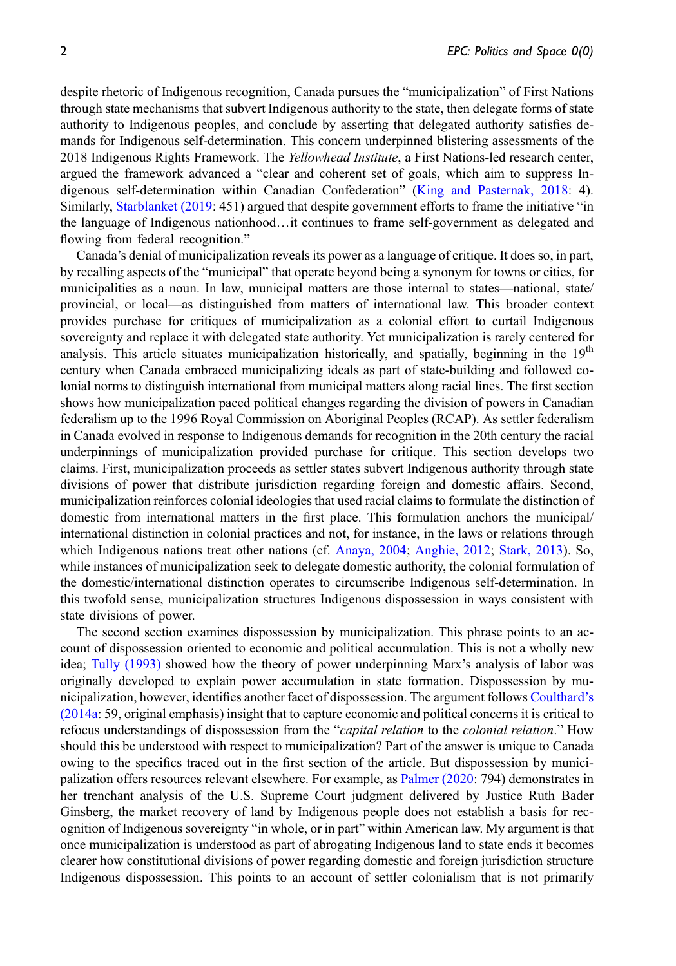despite rhetoric of Indigenous recognition, Canada pursues the "municipalization" of First Nations through state mechanisms that subvert Indigenous authority to the state, then delegate forms of state authority to Indigenous peoples, and conclude by asserting that delegated authority satisfies demands for Indigenous self-determination. This concern underpinned blistering assessments of the 2018 Indigenous Rights Framework. The Yellowhead Institute, a First Nations-led research center, argued the framework advanced a "clear and coherent set of goals, which aim to suppress Indigenous self-determination within Canadian Confederation" [\(King and Pasternak, 2018:](#page-15-0) 4). Similarly, [Starblanket \(2019](#page-16-0): 451) argued that despite government efforts to frame the initiative "in the language of Indigenous nationhood…it continues to frame self-government as delegated and flowing from federal recognition."

Canada's denial of municipalization reveals its power as a language of critique. It does so, in part, by recalling aspects of the "municipal" that operate beyond being a synonym for towns or cities, for municipalities as a noun. In law, municipal matters are those internal to states—national, state/ provincial, or local—as distinguished from matters of international law. This broader context provides purchase for critiques of municipalization as a colonial effort to curtail Indigenous sovereignty and replace it with delegated state authority. Yet municipalization is rarely centered for analysis. This article situates municipalization historically, and spatially, beginning in the 19<sup>th</sup> century when Canada embraced municipalizing ideals as part of state-building and followed colonial norms to distinguish international from municipal matters along racial lines. The first section shows how municipalization paced political changes regarding the division of powers in Canadian federalism up to the 1996 Royal Commission on Aboriginal Peoples (RCAP). As settler federalism in Canada evolved in response to Indigenous demands for recognition in the 20th century the racial underpinnings of municipalization provided purchase for critique. This section develops two claims. First, municipalization proceeds as settler states subvert Indigenous authority through state divisions of power that distribute jurisdiction regarding foreign and domestic affairs. Second, municipalization reinforces colonial ideologies that used racial claims to formulate the distinction of domestic from international matters in the first place. This formulation anchors the municipal/ international distinction in colonial practices and not, for instance, in the laws or relations through which Indigenous nations treat other nations (cf. [Anaya, 2004;](#page-13-0) [Anghie, 2012](#page-13-1); [Stark, 2013](#page-16-1)). So, while instances of municipalization seek to delegate domestic authority, the colonial formulation of the domestic/international distinction operates to circumscribe Indigenous self-determination. In this twofold sense, municipalization structures Indigenous dispossession in ways consistent with state divisions of power.

The second section examines dispossession by municipalization. This phrase points to an account of dispossession oriented to economic and political accumulation. This is not a wholly new idea; [Tully \(1993\)](#page-16-2) showed how the theory of power underpinning Marx's analysis of labor was originally developed to explain power accumulation in state formation. Dispossession by municipalization, however, identifies another facet of dispossession. The argument follows [Coulthard](#page-13-2)'s [\(2014a](#page-13-2): 59, original emphasis) insight that to capture economic and political concerns it is critical to refocus understandings of dispossession from the "capital relation to the colonial relation." How should this be understood with respect to municipalization? Part of the answer is unique to Canada owing to the specifics traced out in the first section of the article. But dispossession by municipalization offers resources relevant elsewhere. For example, as [Palmer \(2020:](#page-15-1) 794) demonstrates in her trenchant analysis of the U.S. Supreme Court judgment delivered by Justice Ruth Bader Ginsberg, the market recovery of land by Indigenous people does not establish a basis for recognition of Indigenous sovereignty "in whole, or in part" within American law. My argument is that once municipalization is understood as part of abrogating Indigenous land to state ends it becomes clearer how constitutional divisions of power regarding domestic and foreign jurisdiction structure Indigenous dispossession. This points to an account of settler colonialism that is not primarily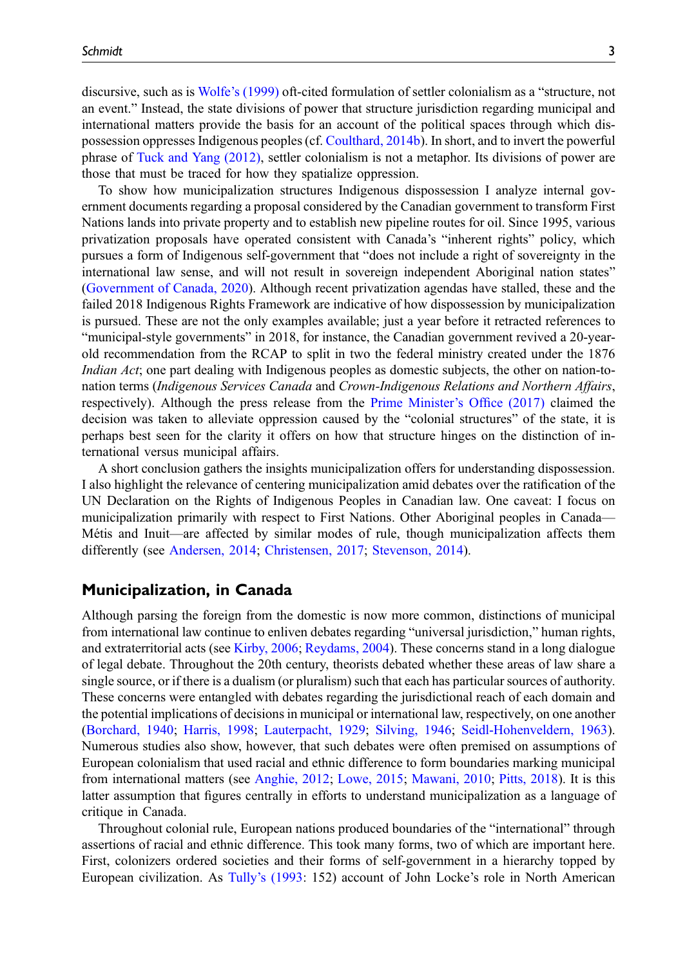discursive, such as is Wolfe'[s \(1999\)](#page-17-0) oft-cited formulation of settler colonialism as a "structure, not an event." Instead, the state divisions of power that structure jurisdiction regarding municipal and international matters provide the basis for an account of the political spaces through which dispossession oppresses Indigenous peoples (cf. [Coulthard, 2014b\)](#page-14-3). In short, and to invert the powerful phrase of [Tuck and Yang \(2012\)](#page-16-3), settler colonialism is not a metaphor. Its divisions of power are those that must be traced for how they spatialize oppression.

To show how municipalization structures Indigenous dispossession I analyze internal government documents regarding a proposal considered by the Canadian government to transform First Nations lands into private property and to establish new pipeline routes for oil. Since 1995, various privatization proposals have operated consistent with Canada's "inherent rights" policy, which pursues a form of Indigenous self-government that "does not include a right of sovereignty in the international law sense, and will not result in sovereign independent Aboriginal nation states" ([Government of Canada, 2020](#page-14-4)). Although recent privatization agendas have stalled, these and the failed 2018 Indigenous Rights Framework are indicative of how dispossession by municipalization is pursued. These are not the only examples available; just a year before it retracted references to "municipal-style governments" in 2018, for instance, the Canadian government revived a 20-yearold recommendation from the RCAP to split in two the federal ministry created under the 1876 Indian Act; one part dealing with Indigenous peoples as domestic subjects, the other on nation-tonation terms (Indigenous Services Canada and Crown-Indigenous Relations and Northern Affairs, respectively). Although the press release from the [Prime Minister](#page-16-4)'s Office (2017) claimed the decision was taken to alleviate oppression caused by the "colonial structures" of the state, it is perhaps best seen for the clarity it offers on how that structure hinges on the distinction of international versus municipal affairs.

A short conclusion gathers the insights municipalization offers for understanding dispossession. I also highlight the relevance of centering municipalization amid debates over the ratification of the UN Declaration on the Rights of Indigenous Peoples in Canadian law. One caveat: I focus on municipalization primarily with respect to First Nations. Other Aboriginal peoples in Canada— Métis and Inuit—are affected by similar modes of rule, though municipalization affects them differently (see [Andersen, 2014](#page-13-3); [Christensen, 2017;](#page-13-4) [Stevenson, 2014](#page-16-5)).

# Municipalization, in Canada

Although parsing the foreign from the domestic is now more common, distinctions of municipal from international law continue to enliven debates regarding "universal jurisdiction," human rights, and extraterritorial acts (see [Kirby, 2006;](#page-15-2) [Reydams, 2004](#page-16-6)). These concerns stand in a long dialogue of legal debate. Throughout the 20th century, theorists debated whether these areas of law share a single source, or if there is a dualism (or pluralism) such that each has particular sources of authority. These concerns were entangled with debates regarding the jurisdictional reach of each domain and the potential implications of decisions in municipal or international law, respectively, on one another ([Borchard, 1940;](#page-13-5) [Harris, 1998;](#page-14-5) [Lauterpacht, 1929;](#page-15-3) [Silving, 1946;](#page-16-7) [Seidl-Hohenveldern, 1963\)](#page-16-8). Numerous studies also show, however, that such debates were often premised on assumptions of European colonialism that used racial and ethnic difference to form boundaries marking municipal from international matters (see [Anghie, 2012;](#page-13-1) [Lowe, 2015;](#page-15-4) [Mawani, 2010;](#page-15-5) [Pitts, 2018\)](#page-16-9). It is this latter assumption that figures centrally in efforts to understand municipalization as a language of critique in Canada.

Throughout colonial rule, European nations produced boundaries of the "international" through assertions of racial and ethnic difference. This took many forms, two of which are important here. First, colonizers ordered societies and their forms of self-government in a hierarchy topped by European civilization. As Tully'[s \(1993](#page-16-2): 152) account of John Locke's role in North American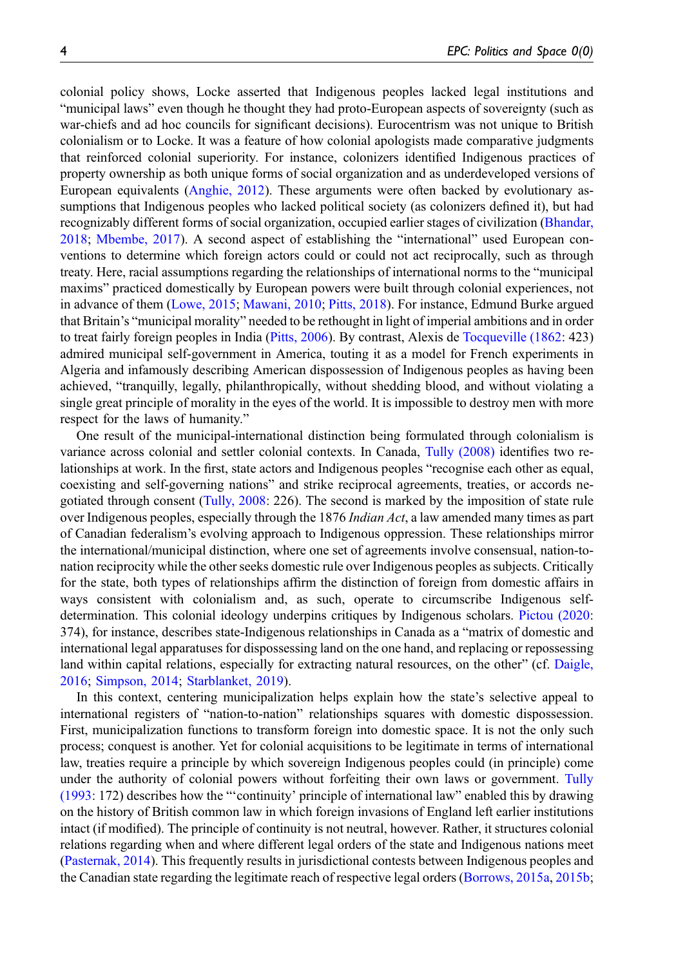colonial policy shows, Locke asserted that Indigenous peoples lacked legal institutions and "municipal laws" even though he thought they had proto-European aspects of sovereignty (such as war-chiefs and ad hoc councils for significant decisions). Eurocentrism was not unique to British colonialism or to Locke. It was a feature of how colonial apologists made comparative judgments that reinforced colonial superiority. For instance, colonizers identified Indigenous practices of property ownership as both unique forms of social organization and as underdeveloped versions of European equivalents ([Anghie, 2012](#page-13-1)). These arguments were often backed by evolutionary assumptions that Indigenous peoples who lacked political society (as colonizers defined it), but had recognizably different forms of social organization, occupied earlier stages of civilization ([Bhandar,](#page-13-6) [2018;](#page-13-6) [Mbembe, 2017\)](#page-15-6). A second aspect of establishing the "international" used European conventions to determine which foreign actors could or could not act reciprocally, such as through treaty. Here, racial assumptions regarding the relationships of international norms to the "municipal maxims" practiced domestically by European powers were built through colonial experiences, not in advance of them ([Lowe, 2015](#page-15-4); [Mawani, 2010;](#page-15-5) [Pitts, 2018](#page-16-9)). For instance, Edmund Burke argued that Britain's "municipal morality" needed to be rethought in light of imperial ambitions and in order to treat fairly foreign peoples in India [\(Pitts, 2006\)](#page-16-10). By contrast, Alexis de [Tocqueville \(1862](#page-16-11): 423) admired municipal self-government in America, touting it as a model for French experiments in Algeria and infamously describing American dispossession of Indigenous peoples as having been achieved, "tranquilly, legally, philanthropically, without shedding blood, and without violating a single great principle of morality in the eyes of the world. It is impossible to destroy men with more respect for the laws of humanity."

One result of the municipal-international distinction being formulated through colonialism is variance across colonial and settler colonial contexts. In Canada, [Tully \(2008\)](#page-16-12) identifies two relationships at work. In the first, state actors and Indigenous peoples "recognise each other as equal, coexisting and self-governing nations" and strike reciprocal agreements, treaties, or accords negotiated through consent [\(Tully, 2008](#page-16-12): 226). The second is marked by the imposition of state rule over Indigenous peoples, especially through the 1876 *Indian Act*, a law amended many times as part of Canadian federalism's evolving approach to Indigenous oppression. These relationships mirror the international/municipal distinction, where one set of agreements involve consensual, nation-tonation reciprocity while the other seeks domestic rule over Indigenous peoples as subjects. Critically for the state, both types of relationships affirm the distinction of foreign from domestic affairs in ways consistent with colonialism and, as such, operate to circumscribe Indigenous selfdetermination. This colonial ideology underpins critiques by Indigenous scholars. [Pictou \(2020:](#page-16-13) 374), for instance, describes state-Indigenous relationships in Canada as a "matrix of domestic and international legal apparatuses for dispossessing land on the one hand, and replacing or repossessing land within capital relations, especially for extracting natural resources, on the other" (cf. [Daigle,](#page-14-6) [2016;](#page-14-6) [Simpson, 2014](#page-16-14); [Starblanket, 2019](#page-16-0)).

In this context, centering municipalization helps explain how the state's selective appeal to international registers of "nation-to-nation" relationships squares with domestic dispossession. First, municipalization functions to transform foreign into domestic space. It is not the only such process; conquest is another. Yet for colonial acquisitions to be legitimate in terms of international law, treaties require a principle by which sovereign Indigenous peoples could (in principle) come under the authority of colonial powers without forfeiting their own laws or government. [Tully](#page-16-2) [\(1993](#page-16-2): 172) describes how the "'continuity' principle of international law" enabled this by drawing on the history of British common law in which foreign invasions of England left earlier institutions intact (if modified). The principle of continuity is not neutral, however. Rather, it structures colonial relations regarding when and where different legal orders of the state and Indigenous nations meet [\(Pasternak, 2014](#page-15-7)). This frequently results in jurisdictional contests between Indigenous peoples and the Canadian state regarding the legitimate reach of respective legal orders [\(Borrows, 2015a](#page-13-7), [2015b;](#page-13-8)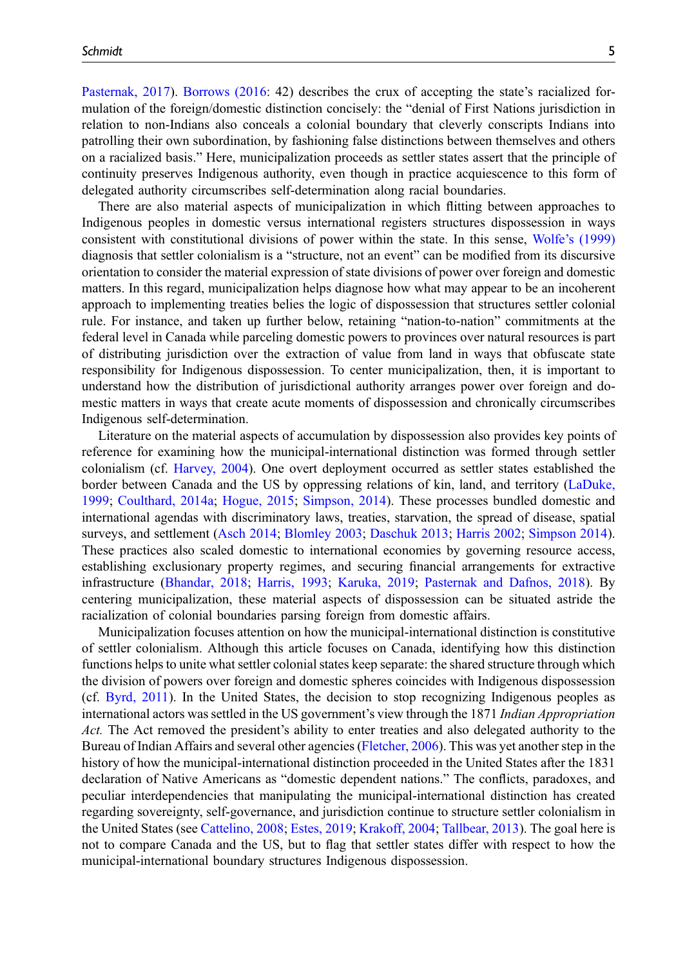[Pasternak, 2017](#page-15-8)). [Borrows \(2016:](#page-13-9) 42) describes the crux of accepting the state's racialized formulation of the foreign/domestic distinction concisely: the "denial of First Nations jurisdiction in relation to non-Indians also conceals a colonial boundary that cleverly conscripts Indians into patrolling their own subordination, by fashioning false distinctions between themselves and others on a racialized basis." Here, municipalization proceeds as settler states assert that the principle of continuity preserves Indigenous authority, even though in practice acquiescence to this form of delegated authority circumscribes self-determination along racial boundaries.

There are also material aspects of municipalization in which flitting between approaches to Indigenous peoples in domestic versus international registers structures dispossession in ways consistent with constitutional divisions of power within the state. In this sense, Wolfe'[s \(1999\)](#page-17-0) diagnosis that settler colonialism is a "structure, not an event" can be modified from its discursive orientation to consider the material expression of state divisions of power over foreign and domestic matters. In this regard, municipalization helps diagnose how what may appear to be an incoherent approach to implementing treaties belies the logic of dispossession that structures settler colonial rule. For instance, and taken up further below, retaining "nation-to-nation" commitments at the federal level in Canada while parceling domestic powers to provinces over natural resources is part of distributing jurisdiction over the extraction of value from land in ways that obfuscate state responsibility for Indigenous dispossession. To center municipalization, then, it is important to understand how the distribution of jurisdictional authority arranges power over foreign and domestic matters in ways that create acute moments of dispossession and chronically circumscribes Indigenous self-determination.

Literature on the material aspects of accumulation by dispossession also provides key points of reference for examining how the municipal-international distinction was formed through settler colonialism (cf. [Harvey, 2004](#page-14-7)). One overt deployment occurred as settler states established the border between Canada and the US by oppressing relations of kin, land, and territory ([LaDuke,](#page-15-9) [1999;](#page-15-9) [Coulthard, 2014a](#page-13-2); [Hogue, 2015;](#page-15-10) [Simpson, 2014](#page-16-14)). These processes bundled domestic and international agendas with discriminatory laws, treaties, starvation, the spread of disease, spatial surveys, and settlement [\(Asch 2014](#page-13-10); [Blomley 2003;](#page-13-11) [Daschuk 2013;](#page-14-8) [Harris 2002;](#page-14-9) [Simpson 2014\)](#page-16-14). These practices also scaled domestic to international economies by governing resource access, establishing exclusionary property regimes, and securing financial arrangements for extractive infrastructure [\(Bhandar, 2018;](#page-13-6) [Harris, 1993](#page-14-10); [Karuka, 2019;](#page-15-11) [Pasternak and Dafnos, 2018](#page-15-12)). By centering municipalization, these material aspects of dispossession can be situated astride the racialization of colonial boundaries parsing foreign from domestic affairs.

Municipalization focuses attention on how the municipal-international distinction is constitutive of settler colonialism. Although this article focuses on Canada, identifying how this distinction functions helps to unite what settler colonial states keep separate: the shared structure through which the division of powers over foreign and domestic spheres coincides with Indigenous dispossession (cf. [Byrd, 2011](#page-13-12)). In the United States, the decision to stop recognizing Indigenous peoples as international actors was settled in the US government's view through the 1871 Indian Appropriation Act. The Act removed the president's ability to enter treaties and also delegated authority to the Bureau of Indian Affairs and several other agencies [\(Fletcher, 2006](#page-14-11)). This was yet another step in the history of how the municipal-international distinction proceeded in the United States after the 1831 declaration of Native Americans as "domestic dependent nations." The conflicts, paradoxes, and peculiar interdependencies that manipulating the municipal-international distinction has created regarding sovereignty, self-governance, and jurisdiction continue to structure settler colonialism in the United States (see [Cattelino, 2008](#page-13-13); [Estes, 2019](#page-14-12); [Krakoff, 2004;](#page-15-13) [Tallbear, 2013](#page-16-15)). The goal here is not to compare Canada and the US, but to flag that settler states differ with respect to how the municipal-international boundary structures Indigenous dispossession.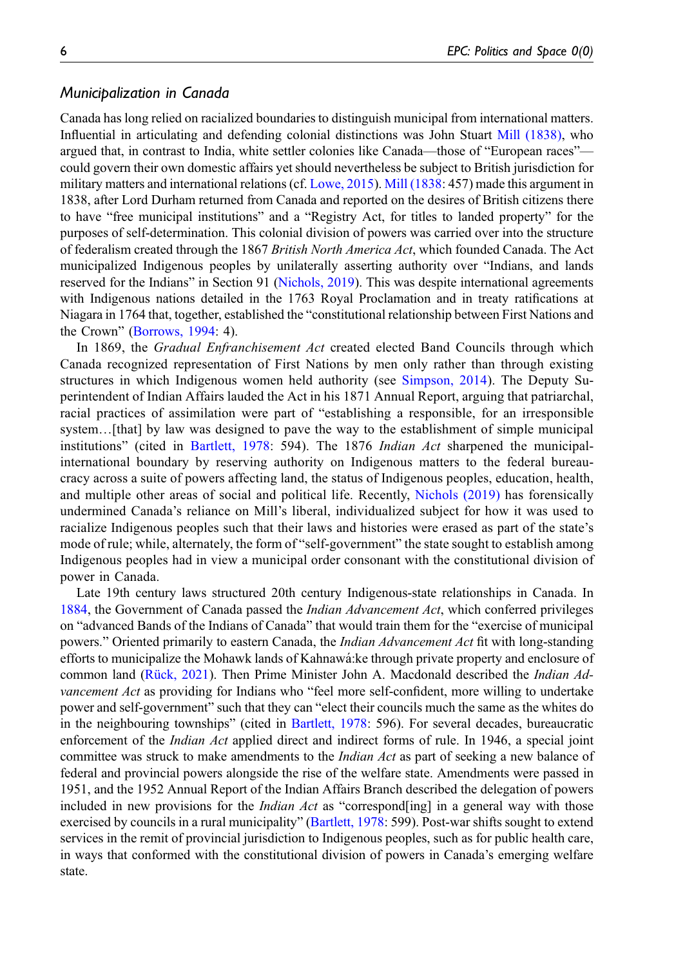## Municipalization in Canada

Canada has long relied on racialized boundaries to distinguish municipal from international matters. Influential in articulating and defending colonial distinctions was John Stuart [Mill \(1838\)](#page-15-14), who argued that, in contrast to India, white settler colonies like Canada—those of "European races" could govern their own domestic affairs yet should nevertheless be subject to British jurisdiction for military matters and international relations (cf. [Lowe, 2015](#page-15-4)). [Mill \(1838:](#page-15-14) 457) made this argument in 1838, after Lord Durham returned from Canada and reported on the desires of British citizens there to have "free municipal institutions" and a "Registry Act, for titles to landed property" for the purposes of self-determination. This colonial division of powers was carried over into the structure of federalism created through the 1867 British North America Act, which founded Canada. The Act municipalized Indigenous peoples by unilaterally asserting authority over "Indians, and lands reserved for the Indians" in Section 91 [\(Nichols, 2019\)](#page-15-15). This was despite international agreements with Indigenous nations detailed in the 1763 Royal Proclamation and in treaty ratifications at Niagara in 1764 that, together, established the "constitutional relationship between First Nations and the Crown" [\(Borrows, 1994](#page-13-14): 4).

In 1869, the *Gradual Enfranchisement Act* created elected Band Councils through which Canada recognized representation of First Nations by men only rather than through existing structures in which Indigenous women held authority (see [Simpson, 2014\)](#page-16-14). The Deputy Superintendent of Indian Affairs lauded the Act in his 1871 Annual Report, arguing that patriarchal, racial practices of assimilation were part of "establishing a responsible, for an irresponsible system...[that] by law was designed to pave the way to the establishment of simple municipal institutions" (cited in [Bartlett, 1978](#page-13-15): 594). The 1876 *Indian Act* sharpened the municipalinternational boundary by reserving authority on Indigenous matters to the federal bureaucracy across a suite of powers affecting land, the status of Indigenous peoples, education, health, and multiple other areas of social and political life. Recently, [Nichols \(2019\)](#page-15-15) has forensically undermined Canada's reliance on Mill's liberal, individualized subject for how it was used to racialize Indigenous peoples such that their laws and histories were erased as part of the state's mode of rule; while, alternately, the form of "self-government" the state sought to establish among Indigenous peoples had in view a municipal order consonant with the constitutional division of power in Canada.

Late 19th century laws structured 20th century Indigenous-state relationships in Canada. In [1884,](#page-14-13) the Government of Canada passed the *Indian Advancement Act*, which conferred privileges on "advanced Bands of the Indians of Canada" that would train them for the "exercise of municipal powers." Oriented primarily to eastern Canada, the *Indian Advancement Act* fit with long-standing efforts to municipalize the Mohawk lands of Kahnawa:ke through private property and enclosure of ´ common land ([Rück, 2021\)](#page-16-16). Then Prime Minister John A. Macdonald described the *Indian Ad*vancement Act as providing for Indians who "feel more self-confident, more willing to undertake power and self-government" such that they can "elect their councils much the same as the whites do in the neighbouring townships" (cited in [Bartlett, 1978](#page-13-15): 596). For several decades, bureaucratic enforcement of the Indian Act applied direct and indirect forms of rule. In 1946, a special joint committee was struck to make amendments to the *Indian Act* as part of seeking a new balance of federal and provincial powers alongside the rise of the welfare state. Amendments were passed in 1951, and the 1952 Annual Report of the Indian Affairs Branch described the delegation of powers included in new provisions for the *Indian Act* as "correspond[ing] in a general way with those exercised by councils in a rural municipality" ([Bartlett, 1978:](#page-13-15) 599). Post-war shifts sought to extend services in the remit of provincial jurisdiction to Indigenous peoples, such as for public health care, in ways that conformed with the constitutional division of powers in Canada's emerging welfare state.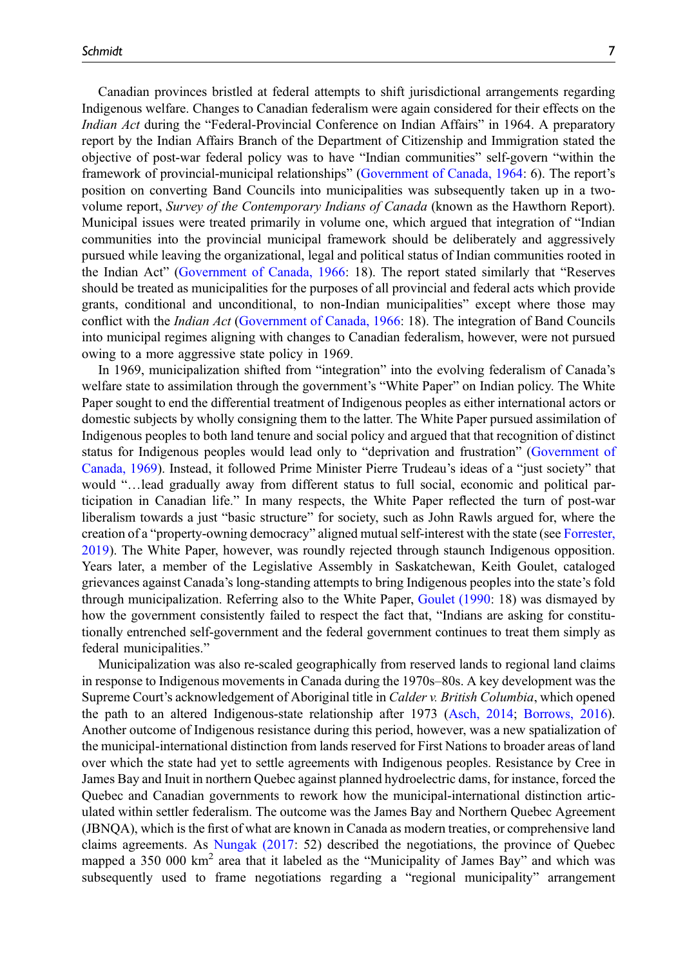Canadian provinces bristled at federal attempts to shift jurisdictional arrangements regarding Indigenous welfare. Changes to Canadian federalism were again considered for their effects on the Indian Act during the "Federal-Provincial Conference on Indian Affairs" in 1964. A preparatory report by the Indian Affairs Branch of the Department of Citizenship and Immigration stated the objective of post-war federal policy was to have "Indian communities" self-govern "within the framework of provincial-municipal relationships" [\(Government of Canada, 1964:](#page-14-14) 6). The report's position on converting Band Councils into municipalities was subsequently taken up in a twovolume report, Survey of the Contemporary Indians of Canada (known as the Hawthorn Report). Municipal issues were treated primarily in volume one, which argued that integration of "Indian communities into the provincial municipal framework should be deliberately and aggressively pursued while leaving the organizational, legal and political status of Indian communities rooted in the Indian Act" ([Government of Canada, 1966](#page-14-15): 18). The report stated similarly that "Reserves should be treated as municipalities for the purposes of all provincial and federal acts which provide grants, conditional and unconditional, to non-Indian municipalities" except where those may conflict with the Indian Act ([Government of Canada, 1966](#page-14-15): 18). The integration of Band Councils into municipal regimes aligning with changes to Canadian federalism, however, were not pursued owing to a more aggressive state policy in 1969.

In 1969, municipalization shifted from "integration" into the evolving federalism of Canada's welfare state to assimilation through the government's "White Paper" on Indian policy. The White Paper sought to end the differential treatment of Indigenous peoples as either international actors or domestic subjects by wholly consigning them to the latter. The White Paper pursued assimilation of Indigenous peoples to both land tenure and social policy and argued that that recognition of distinct status for Indigenous peoples would lead only to "deprivation and frustration" ([Government of](#page-14-16) [Canada, 1969\)](#page-14-16). Instead, it followed Prime Minister Pierre Trudeau's ideas of a "just society" that would "…lead gradually away from different status to full social, economic and political participation in Canadian life." In many respects, the White Paper reflected the turn of post-war liberalism towards a just "basic structure" for society, such as John Rawls argued for, where the creation of a "property-owning democracy" aligned mutual self-interest with the state (see [Forrester,](#page-14-17) [2019\)](#page-14-17). The White Paper, however, was roundly rejected through staunch Indigenous opposition. Years later, a member of the Legislative Assembly in Saskatchewan, Keith Goulet, cataloged grievances against Canada's long-standing attempts to bring Indigenous peoples into the state's fold through municipalization. Referring also to the White Paper, [Goulet \(1990](#page-14-18): 18) was dismayed by how the government consistently failed to respect the fact that, "Indians are asking for constitutionally entrenched self-government and the federal government continues to treat them simply as federal municipalities."

Municipalization was also re-scaled geographically from reserved lands to regional land claims in response to Indigenous movements in Canada during the 1970s–80s. A key development was the Supreme Court's acknowledgement of Aboriginal title in Calder v. British Columbia, which opened the path to an altered Indigenous-state relationship after 1973 ([Asch, 2014](#page-13-10); [Borrows, 2016\)](#page-13-9). Another outcome of Indigenous resistance during this period, however, was a new spatialization of the municipal-international distinction from lands reserved for First Nations to broader areas of land over which the state had yet to settle agreements with Indigenous peoples. Resistance by Cree in James Bay and Inuit in northern Quebec against planned hydroelectric dams, for instance, forced the Quebec and Canadian governments to rework how the municipal-international distinction articulated within settler federalism. The outcome was the James Bay and Northern Quebec Agreement (JBNQA), which is the first of what are known in Canada as modern treaties, or comprehensive land claims agreements. As [Nungak \(2017:](#page-15-16) 52) described the negotiations, the province of Quebec mapped a  $350\,000\ \mathrm{km}^2$  area that it labeled as the "Municipality of James Bay" and which was subsequently used to frame negotiations regarding a "regional municipality" arrangement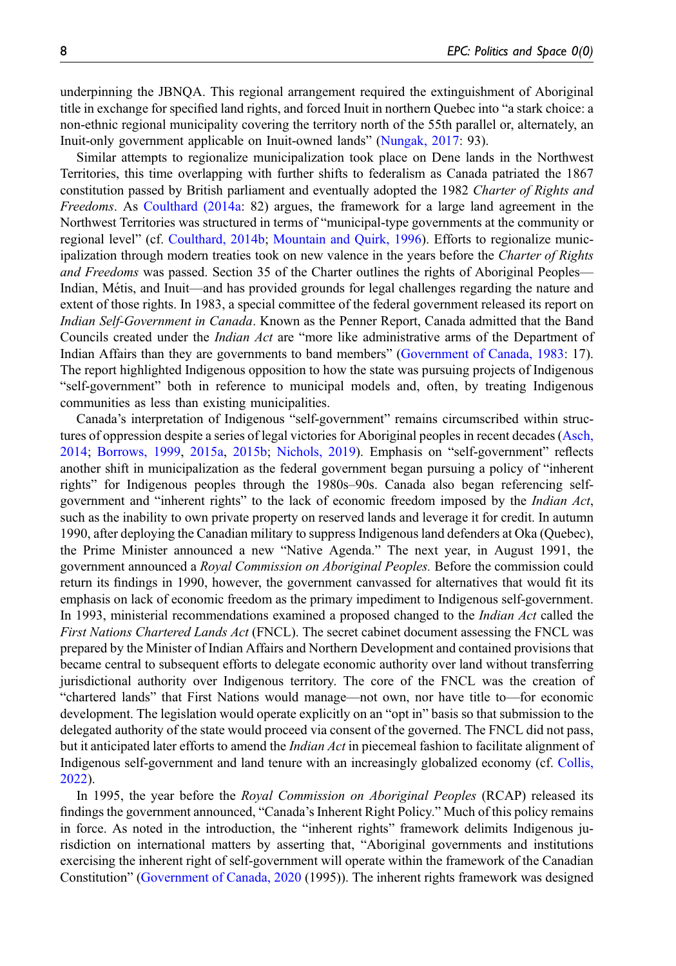underpinning the JBNQA. This regional arrangement required the extinguishment of Aboriginal title in exchange for specified land rights, and forced Inuit in northern Quebec into "a stark choice: a non-ethnic regional municipality covering the territory north of the 55th parallel or, alternately, an Inuit-only government applicable on Inuit-owned lands" ([Nungak, 2017](#page-15-16): 93).

Similar attempts to regionalize municipalization took place on Dene lands in the Northwest Territories, this time overlapping with further shifts to federalism as Canada patriated the 1867 constitution passed by British parliament and eventually adopted the 1982 Charter of Rights and Freedoms. As [Coulthard \(2014a](#page-13-2): 82) argues, the framework for a large land agreement in the Northwest Territories was structured in terms of "municipal-type governments at the community or regional level" (cf. [Coulthard, 2014b](#page-14-3); [Mountain and Quirk, 1996\)](#page-15-17). Efforts to regionalize municipalization through modern treaties took on new valence in the years before the Charter of Rights and Freedoms was passed. Section 35 of the Charter outlines the rights of Aboriginal Peoples— Indian, Métis, and Inuit—and has provided grounds for legal challenges regarding the nature and extent of those rights. In 1983, a special committee of the federal government released its report on Indian Self-Government in Canada. Known as the Penner Report, Canada admitted that the Band Councils created under the Indian Act are "more like administrative arms of the Department of Indian Affairs than they are governments to band members" ([Government of Canada, 1983:](#page-14-19) 17). The report highlighted Indigenous opposition to how the state was pursuing projects of Indigenous "self-government" both in reference to municipal models and, often, by treating Indigenous communities as less than existing municipalities.

Canada's interpretation of Indigenous "self-government" remains circumscribed within structures of oppression despite a series of legal victories for Aboriginal peoples in recent decades ([Asch,](#page-13-10) [2014;](#page-13-10) [Borrows, 1999,](#page-13-16) [2015a](#page-13-7), [2015b](#page-13-8); [Nichols, 2019\)](#page-15-15). Emphasis on "self-government" reflects another shift in municipalization as the federal government began pursuing a policy of "inherent rights" for Indigenous peoples through the 1980s–90s. Canada also began referencing selfgovernment and "inherent rights" to the lack of economic freedom imposed by the Indian Act, such as the inability to own private property on reserved lands and leverage it for credit. In autumn 1990, after deploying the Canadian military to suppress Indigenous land defenders at Oka (Quebec), the Prime Minister announced a new "Native Agenda." The next year, in August 1991, the government announced a Royal Commission on Aboriginal Peoples. Before the commission could return its findings in 1990, however, the government canvassed for alternatives that would fit its emphasis on lack of economic freedom as the primary impediment to Indigenous self-government. In 1993, ministerial recommendations examined a proposed changed to the *Indian Act* called the First Nations Chartered Lands Act (FNCL). The secret cabinet document assessing the FNCL was prepared by the Minister of Indian Affairs and Northern Development and contained provisions that became central to subsequent efforts to delegate economic authority over land without transferring jurisdictional authority over Indigenous territory. The core of the FNCL was the creation of "chartered lands" that First Nations would manage—not own, nor have title to—for economic development. The legislation would operate explicitly on an "opt in" basis so that submission to the delegated authority of the state would proceed via consent of the governed. The FNCL did not pass, but it anticipated later efforts to amend the *Indian Act* in piecemeal fashion to facilitate alignment of Indigenous self-government and land tenure with an increasingly globalized economy (cf. [Collis,](#page-13-17) [2022\)](#page-13-17).

In 1995, the year before the *Royal Commission on Aboriginal Peoples* (RCAP) released its findings the government announced, "Canada's Inherent Right Policy." Much of this policy remains in force. As noted in the introduction, the "inherent rights" framework delimits Indigenous jurisdiction on international matters by asserting that, "Aboriginal governments and institutions exercising the inherent right of self-government will operate within the framework of the Canadian Constitution" ([Government of Canada, 2020](#page-14-4) (1995)). The inherent rights framework was designed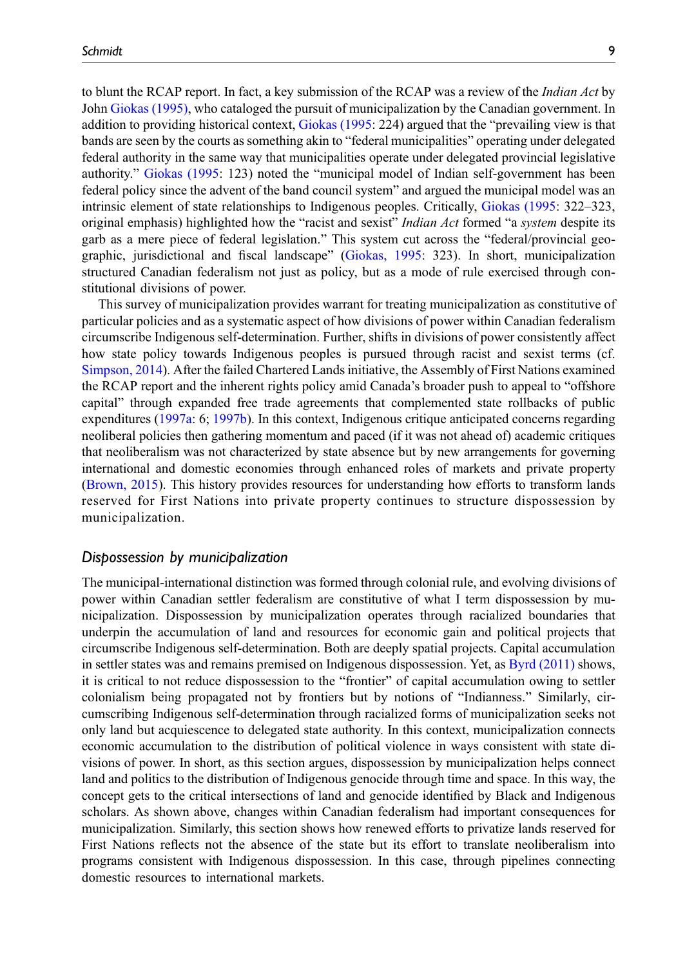to blunt the RCAP report. In fact, a key submission of the RCAP was a review of the *Indian Act* by John [Giokas \(1995\)](#page-14-20), who cataloged the pursuit of municipalization by the Canadian government. In addition to providing historical context, [Giokas \(1995:](#page-14-20) 224) argued that the "prevailing view is that bands are seen by the courts as something akin to "federal municipalities" operating under delegated federal authority in the same way that municipalities operate under delegated provincial legislative authority." [Giokas \(1995](#page-14-20): 123) noted the "municipal model of Indian self-government has been federal policy since the advent of the band council system" and argued the municipal model was an intrinsic element of state relationships to Indigenous peoples. Critically, [Giokas \(1995](#page-14-20): 322–323, original emphasis) highlighted how the "racist and sexist" Indian Act formed "a system despite its garb as a mere piece of federal legislation." This system cut across the "federal/provincial geographic, jurisdictional and fiscal landscape" [\(Giokas, 1995:](#page-14-20) 323). In short, municipalization structured Canadian federalism not just as policy, but as a mode of rule exercised through constitutional divisions of power.

This survey of municipalization provides warrant for treating municipalization as constitutive of particular policies and as a systematic aspect of how divisions of power within Canadian federalism circumscribe Indigenous self-determination. Further, shifts in divisions of power consistently affect how state policy towards Indigenous peoples is pursued through racist and sexist terms (cf. [Simpson, 2014\)](#page-16-14). After the failed Chartered Lands initiative, the Assembly of First Nations examined the RCAP report and the inherent rights policy amid Canada's broader push to appeal to "offshore capital" through expanded free trade agreements that complemented state rollbacks of public expenditures ([1997a](#page-13-18): 6; [1997b](#page-13-19)). In this context, Indigenous critique anticipated concerns regarding neoliberal policies then gathering momentum and paced (if it was not ahead of) academic critiques that neoliberalism was not characterized by state absence but by new arrangements for governing international and domestic economies through enhanced roles of markets and private property ([Brown, 2015\)](#page-13-20). This history provides resources for understanding how efforts to transform lands reserved for First Nations into private property continues to structure dispossession by municipalization.

### Dispossession by municipalization

The municipal-international distinction was formed through colonial rule, and evolving divisions of power within Canadian settler federalism are constitutive of what I term dispossession by municipalization. Dispossession by municipalization operates through racialized boundaries that underpin the accumulation of land and resources for economic gain and political projects that circumscribe Indigenous self-determination. Both are deeply spatial projects. Capital accumulation in settler states was and remains premised on Indigenous dispossession. Yet, as [Byrd \(2011\)](#page-13-12) shows, it is critical to not reduce dispossession to the "frontier" of capital accumulation owing to settler colonialism being propagated not by frontiers but by notions of "Indianness." Similarly, circumscribing Indigenous self-determination through racialized forms of municipalization seeks not only land but acquiescence to delegated state authority. In this context, municipalization connects economic accumulation to the distribution of political violence in ways consistent with state divisions of power. In short, as this section argues, dispossession by municipalization helps connect land and politics to the distribution of Indigenous genocide through time and space. In this way, the concept gets to the critical intersections of land and genocide identified by Black and Indigenous scholars. As shown above, changes within Canadian federalism had important consequences for municipalization. Similarly, this section shows how renewed efforts to privatize lands reserved for First Nations reflects not the absence of the state but its effort to translate neoliberalism into programs consistent with Indigenous dispossession. In this case, through pipelines connecting domestic resources to international markets.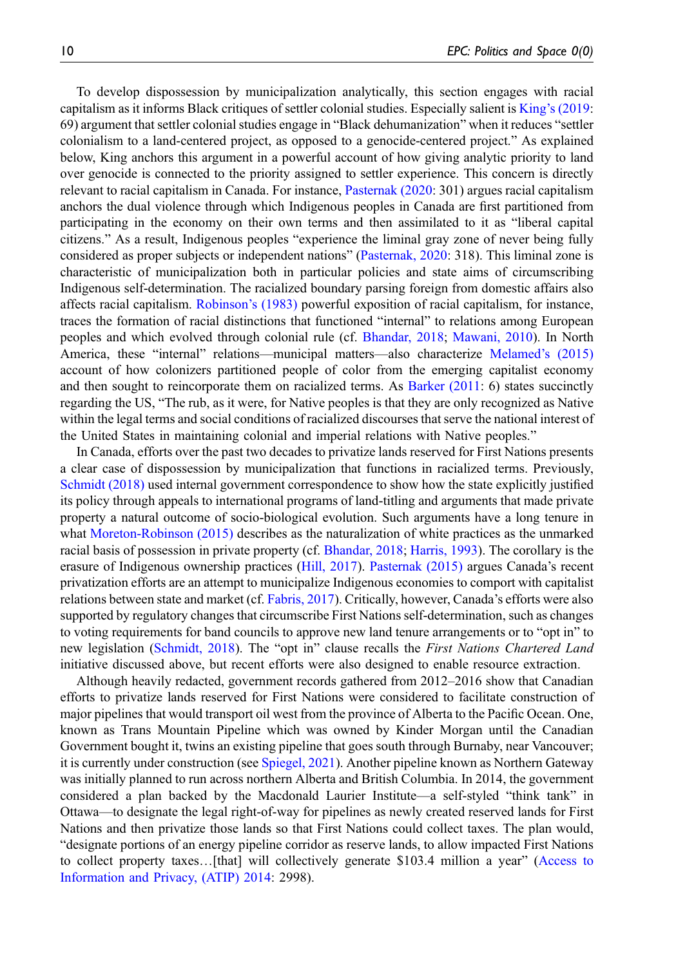To develop dispossession by municipalization analytically, this section engages with racial capitalism as it informs Black critiques of settler colonial studies. Especially salient is King'[s \(2019:](#page-15-18) 69) argument that settler colonial studies engage in "Black dehumanization" when it reduces "settler colonialism to a land-centered project, as opposed to a genocide-centered project." As explained below, King anchors this argument in a powerful account of how giving analytic priority to land over genocide is connected to the priority assigned to settler experience. This concern is directly relevant to racial capitalism in Canada. For instance, [Pasternak \(2020:](#page-15-19) 301) argues racial capitalism anchors the dual violence through which Indigenous peoples in Canada are first partitioned from participating in the economy on their own terms and then assimilated to it as "liberal capital citizens." As a result, Indigenous peoples "experience the liminal gray zone of never being fully considered as proper subjects or independent nations" [\(Pasternak, 2020:](#page-15-19) 318). This liminal zone is characteristic of municipalization both in particular policies and state aims of circumscribing Indigenous self-determination. The racialized boundary parsing foreign from domestic affairs also affects racial capitalism. [Robinson](#page-16-17)'s (1983) powerful exposition of racial capitalism, for instance, traces the formation of racial distinctions that functioned "internal" to relations among European peoples and which evolved through colonial rule (cf. [Bhandar, 2018](#page-13-6); [Mawani, 2010](#page-15-5)). In North America, these "internal" relations—municipal matters—also characterize [Melamed](#page-15-20)'s (2015) account of how colonizers partitioned people of color from the emerging capitalist economy and then sought to reincorporate them on racialized terms. As [Barker \(2011:](#page-13-21) 6) states succinctly regarding the US, "The rub, as it were, for Native peoples is that they are only recognized as Native within the legal terms and social conditions of racialized discourses that serve the national interest of the United States in maintaining colonial and imperial relations with Native peoples."

In Canada, efforts over the past two decades to privatize lands reserved for First Nations presents a clear case of dispossession by municipalization that functions in racialized terms. Previously, [Schmidt \(2018\)](#page-16-18) used internal government correspondence to show how the state explicitly justified its policy through appeals to international programs of land-titling and arguments that made private property a natural outcome of socio-biological evolution. Such arguments have a long tenure in what [Moreton-Robinson \(2015\)](#page-15-21) describes as the naturalization of white practices as the unmarked racial basis of possession in private property (cf. [Bhandar, 2018;](#page-13-6) [Harris, 1993\)](#page-14-10). The corollary is the erasure of Indigenous ownership practices [\(Hill, 2017\)](#page-15-22). [Pasternak \(2015\)](#page-15-23) argues Canada's recent privatization efforts are an attempt to municipalize Indigenous economies to comport with capitalist relations between state and market (cf. [Fabris, 2017](#page-14-21)). Critically, however, Canada's efforts were also supported by regulatory changes that circumscribe First Nations self-determination, such as changes to voting requirements for band councils to approve new land tenure arrangements or to "opt in" to new legislation [\(Schmidt, 2018\)](#page-16-18). The "opt in" clause recalls the First Nations Chartered Land initiative discussed above, but recent efforts were also designed to enable resource extraction.

Although heavily redacted, government records gathered from 2012–2016 show that Canadian efforts to privatize lands reserved for First Nations were considered to facilitate construction of major pipelines that would transport oil west from the province of Alberta to the Pacific Ocean. One, known as Trans Mountain Pipeline which was owned by Kinder Morgan until the Canadian Government bought it, twins an existing pipeline that goes south through Burnaby, near Vancouver; it is currently under construction (see [Spiegel, 2021](#page-16-19)). Another pipeline known as Northern Gateway was initially planned to run across northern Alberta and British Columbia. In 2014, the government considered a plan backed by the Macdonald Laurier Institute—a self-styled "think tank" in Ottawa—to designate the legal right-of-way for pipelines as newly created reserved lands for First Nations and then privatize those lands so that First Nations could collect taxes. The plan would, "designate portions of an energy pipeline corridor as reserve lands, to allow impacted First Nations to collect property taxes…[that] will collectively generate \$103.4 million a year" [\(Access to](#page-13-22) [Information and Privacy, \(ATIP\) 2014:](#page-13-22) 2998).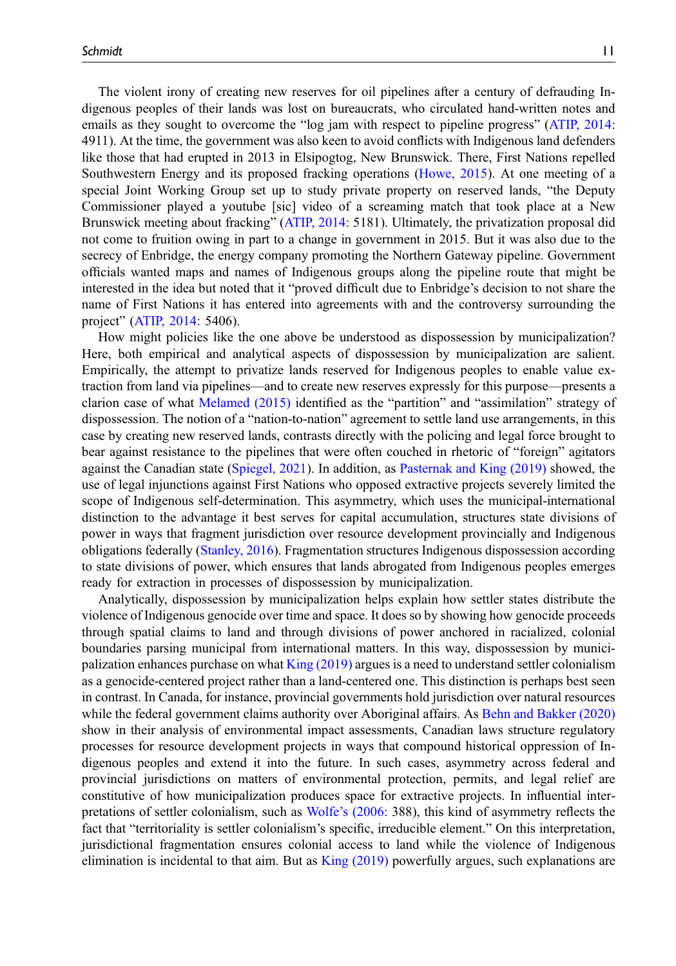The violent irony of creating new reserves for oil pipelines after a century of defrauding Indigenous peoples of their lands was lost on bureaucrats, who circulated hand-written notes and emails as they sought to overcome the "log jam with respect to pipeline progress" ([ATIP, 2014:](#page-13-22) 4911). At the time, the government was also keen to avoid conflicts with Indigenous land defenders like those that had erupted in 2013 in Elsipogtog, New Brunswick. There, First Nations repelled Southwestern Energy and its proposed fracking operations [\(Howe, 2015\)](#page-15-24). At one meeting of a special Joint Working Group set up to study private property on reserved lands, "the Deputy Commissioner played a youtube [sic] video of a screaming match that took place at a New Brunswick meeting about fracking" ([ATIP, 2014:](#page-13-22) 5181). Ultimately, the privatization proposal did not come to fruition owing in part to a change in government in 2015. But it was also due to the secrecy of Enbridge, the energy company promoting the Northern Gateway pipeline. Government officials wanted maps and names of Indigenous groups along the pipeline route that might be interested in the idea but noted that it "proved difficult due to Enbridge's decision to not share the name of First Nations it has entered into agreements with and the controversy surrounding the project" ([ATIP, 2014:](#page-13-22) 5406).

How might policies like the one above be understood as dispossession by municipalization? Here, both empirical and analytical aspects of dispossession by municipalization are salient. Empirically, the attempt to privatize lands reserved for Indigenous peoples to enable value extraction from land via pipelines—and to create new reserves expressly for this purpose—presents a clarion case of what [Melamed \(2015\)](#page-15-20) identified as the "partition" and "assimilation" strategy of dispossession. The notion of a "nation-to-nation" agreement to settle land use arrangements, in this case by creating new reserved lands, contrasts directly with the policing and legal force brought to bear against resistance to the pipelines that were often couched in rhetoric of "foreign" agitators against the Canadian state [\(Spiegel, 2021](#page-16-19)). In addition, as [Pasternak and King \(2019\)](#page-16-20) showed, the use of legal injunctions against First Nations who opposed extractive projects severely limited the scope of Indigenous self-determination. This asymmetry, which uses the municipal-international distinction to the advantage it best serves for capital accumulation, structures state divisions of power in ways that fragment jurisdiction over resource development provincially and Indigenous obligations federally [\(Stanley, 2016\)](#page-16-21). Fragmentation structures Indigenous dispossession according to state divisions of power, which ensures that lands abrogated from Indigenous peoples emerges ready for extraction in processes of dispossession by municipalization.

Analytically, dispossession by municipalization helps explain how settler states distribute the violence of Indigenous genocide over time and space. It does so by showing how genocide proceeds through spatial claims to land and through divisions of power anchored in racialized, colonial boundaries parsing municipal from international matters. In this way, dispossession by municipalization enhances purchase on what  $King (2019)$  argues is a need to understand settler colonialism as a genocide-centered project rather than a land-centered one. This distinction is perhaps best seen in contrast. In Canada, for instance, provincial governments hold jurisdiction over natural resources while the federal government claims authority over Aboriginal affairs. As [Behn and Bakker \(2020\)](#page-13-23) show in their analysis of environmental impact assessments, Canadian laws structure regulatory processes for resource development projects in ways that compound historical oppression of Indigenous peoples and extend it into the future. In such cases, asymmetry across federal and provincial jurisdictions on matters of environmental protection, permits, and legal relief are constitutive of how municipalization produces space for extractive projects. In influential interpretations of settler colonialism, such as Wolfe'[s \(2006](#page-17-1): 388), this kind of asymmetry reflects the fact that "territoriality is settler colonialism's specific, irreducible element." On this interpretation, jurisdictional fragmentation ensures colonial access to land while the violence of Indigenous elimination is incidental to that aim. But as [King \(2019\)](#page-15-18) powerfully argues, such explanations are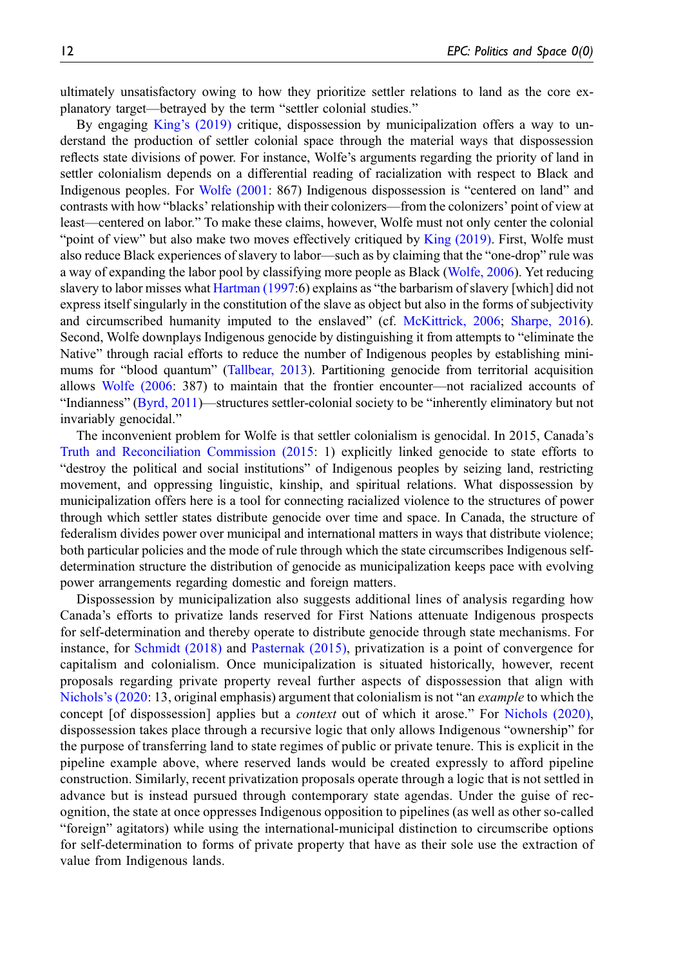ultimately unsatisfactory owing to how they prioritize settler relations to land as the core explanatory target—betrayed by the term "settler colonial studies."

By engaging King'[s \(2019\)](#page-15-18) critique, dispossession by municipalization offers a way to understand the production of settler colonial space through the material ways that dispossession reflects state divisions of power. For instance, Wolfe's arguments regarding the priority of land in settler colonialism depends on a differential reading of racialization with respect to Black and Indigenous peoples. For [Wolfe \(2001:](#page-17-2) 867) Indigenous dispossession is "centered on land" and contrasts with how "blacks' relationship with their colonizers—from the colonizers' point of view at least—centered on labor." To make these claims, however, Wolfe must not only center the colonial "point of view" but also make two moves effectively critiqued by [King \(2019\).](#page-15-18) First, Wolfe must also reduce Black experiences of slavery to labor—such as by claiming that the "one-drop" rule was a way of expanding the labor pool by classifying more people as Black ([Wolfe, 2006](#page-17-1)). Yet reducing slavery to labor misses what [Hartman \(1997](#page-14-22):6) explains as "the barbarism of slavery [which] did not express itself singularly in the constitution of the slave as object but also in the forms of subjectivity and circumscribed humanity imputed to the enslaved" (cf. [McKittrick, 2006](#page-15-25); [Sharpe, 2016\)](#page-16-22). Second, Wolfe downplays Indigenous genocide by distinguishing it from attempts to "eliminate the Native" through racial efforts to reduce the number of Indigenous peoples by establishing minimums for "blood quantum" [\(Tallbear, 2013\)](#page-16-15). Partitioning genocide from territorial acquisition allows [Wolfe \(2006:](#page-17-1) 387) to maintain that the frontier encounter—not racialized accounts of "Indianness" [\(Byrd, 2011\)](#page-13-12)—structures settler-colonial society to be "inherently eliminatory but not invariably genocidal."

The inconvenient problem for Wolfe is that settler colonialism is genocidal. In 2015, Canada's [Truth and Reconciliation Commission \(2015](#page-16-23): 1) explicitly linked genocide to state efforts to "destroy the political and social institutions" of Indigenous peoples by seizing land, restricting movement, and oppressing linguistic, kinship, and spiritual relations. What dispossession by municipalization offers here is a tool for connecting racialized violence to the structures of power through which settler states distribute genocide over time and space. In Canada, the structure of federalism divides power over municipal and international matters in ways that distribute violence; both particular policies and the mode of rule through which the state circumscribes Indigenous selfdetermination structure the distribution of genocide as municipalization keeps pace with evolving power arrangements regarding domestic and foreign matters.

Dispossession by municipalization also suggests additional lines of analysis regarding how Canada's efforts to privatize lands reserved for First Nations attenuate Indigenous prospects for self-determination and thereby operate to distribute genocide through state mechanisms. For instance, for [Schmidt \(2018\)](#page-16-18) and [Pasternak \(2015\)](#page-15-23), privatization is a point of convergence for capitalism and colonialism. Once municipalization is situated historically, however, recent proposals regarding private property reveal further aspects of dispossession that align with [Nichols](#page-15-26)'s (2020: 13, original emphasis) argument that colonialism is not "an *example* to which the concept [of dispossession] applies but a *context* out of which it arose." For [Nichols \(2020\),](#page-15-26) dispossession takes place through a recursive logic that only allows Indigenous "ownership" for the purpose of transferring land to state regimes of public or private tenure. This is explicit in the pipeline example above, where reserved lands would be created expressly to afford pipeline construction. Similarly, recent privatization proposals operate through a logic that is not settled in advance but is instead pursued through contemporary state agendas. Under the guise of recognition, the state at once oppresses Indigenous opposition to pipelines (as well as other so-called "foreign" agitators) while using the international-municipal distinction to circumscribe options for self-determination to forms of private property that have as their sole use the extraction of value from Indigenous lands.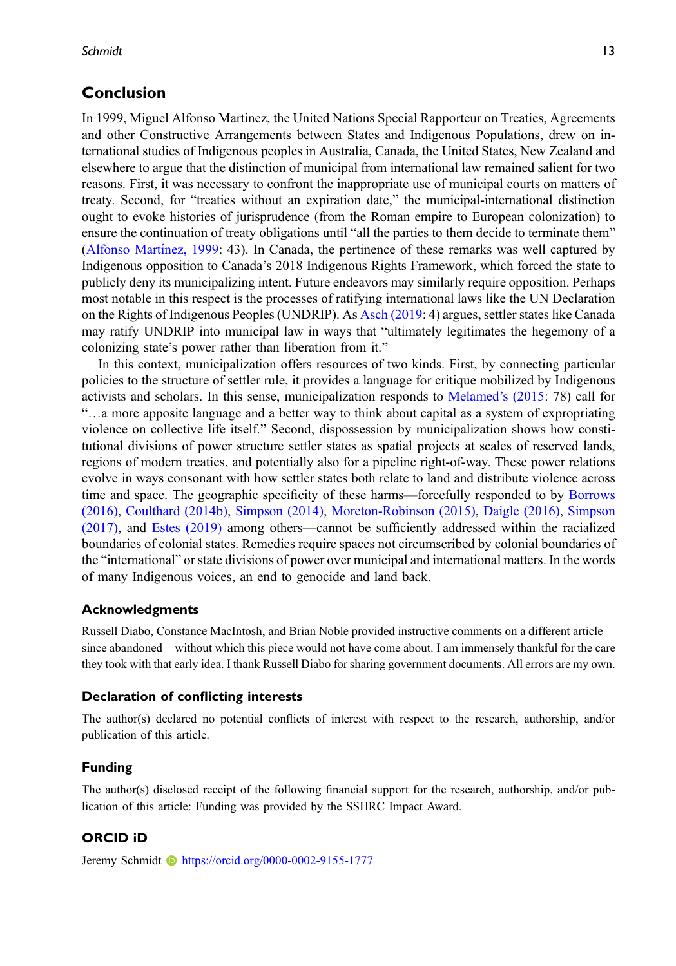# Conclusion

In 1999, Miguel Alfonso Martinez, the United Nations Special Rapporteur on Treaties, Agreements and other Constructive Arrangements between States and Indigenous Populations, drew on international studies of Indigenous peoples in Australia, Canada, the United States, New Zealand and elsewhere to argue that the distinction of municipal from international law remained salient for two reasons. First, it was necessary to confront the inappropriate use of municipal courts on matters of treaty. Second, for "treaties without an expiration date," the municipal-international distinction ought to evoke histories of jurisprudence (from the Roman empire to European colonization) to ensure the continuation of treaty obligations until "all the parties to them decide to terminate them" ([Alfonso Mart](#page-13-24)í[nez, 1999:](#page-13-24) 43). In Canada, the pertinence of these remarks was well captured by Indigenous opposition to Canada's 2018 Indigenous Rights Framework, which forced the state to publicly deny its municipalizing intent. Future endeavors may similarly require opposition. Perhaps most notable in this respect is the processes of ratifying international laws like the UN Declaration on the Rights of Indigenous Peoples (UNDRIP). As [Asch \(2019](#page-13-25): 4) argues, settler states like Canada may ratify UNDRIP into municipal law in ways that "ultimately legitimates the hegemony of a colonizing state's power rather than liberation from it."

In this context, municipalization offers resources of two kinds. First, by connecting particular policies to the structure of settler rule, it provides a language for critique mobilized by Indigenous activists and scholars. In this sense, municipalization responds to [Melamed](#page-15-20)'s (2015: 78) call for "…a more apposite language and a better way to think about capital as a system of expropriating violence on collective life itself." Second, dispossession by municipalization shows how constitutional divisions of power structure settler states as spatial projects at scales of reserved lands, regions of modern treaties, and potentially also for a pipeline right-of-way. These power relations evolve in ways consonant with how settler states both relate to land and distribute violence across time and space. The geographic specificity of these harms—forcefully responded to by [Borrows](#page-13-9) [\(2016\)](#page-13-9), [Coulthard \(2014b\)](#page-14-3), [Simpson \(2014\)](#page-16-14), [Moreton-Robinson \(2015\)](#page-15-21), [Daigle \(2016\),](#page-14-6) [Simpson](#page-16-24) [\(2017\)](#page-16-24), and [Estes \(2019\)](#page-14-12) among others—cannot be sufficiently addressed within the racialized boundaries of colonial states. Remedies require spaces not circumscribed by colonial boundaries of the "international" or state divisions of power over municipal and international matters. In the words of many Indigenous voices, an end to genocide and land back.

## Acknowledgments

Russell Diabo, Constance MacIntosh, and Brian Noble provided instructive comments on a different article since abandoned—without which this piece would not have come about. I am immensely thankful for the care they took with that early idea. I thank Russell Diabo for sharing government documents. All errors are my own.

## Declaration of conflicting interests

The author(s) declared no potential conflicts of interest with respect to the research, authorship, and/or publication of this article.

### Funding

The author(s) disclosed receipt of the following financial support for the research, authorship, and/or publication of this article: Funding was provided by the SSHRC Impact Award.

# ORCID iD

Jeremy Schmidt **b** <https://orcid.org/0000-0002-9155-1777>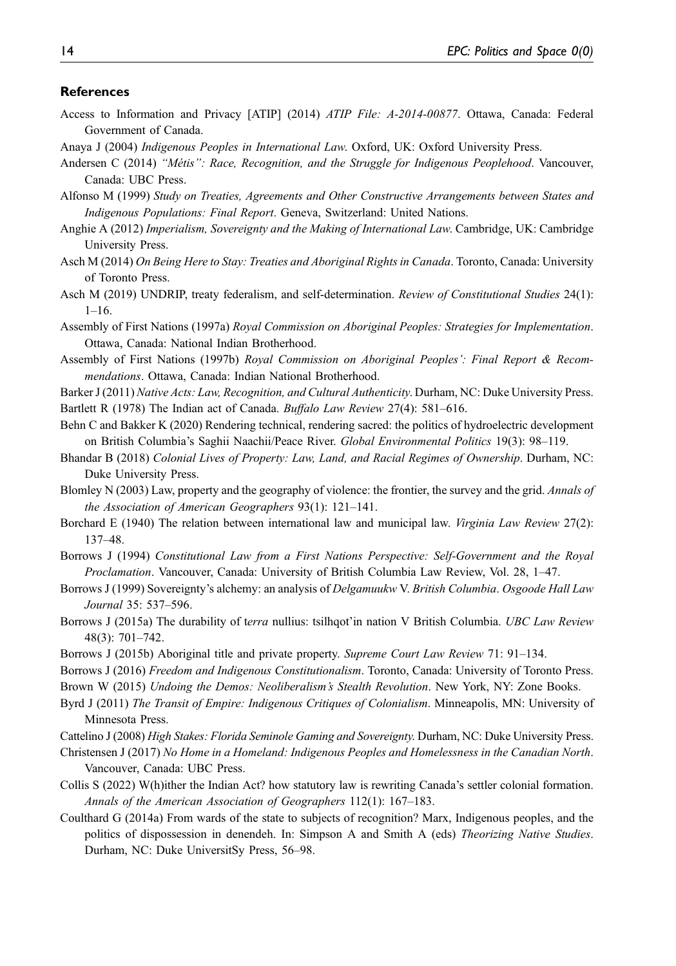#### **References**

- <span id="page-13-22"></span>Access to Information and Privacy [ATIP] (2014) ATIP File: A-2014-00877. Ottawa, Canada: Federal Government of Canada.
- <span id="page-13-0"></span>Anaya J (2004) Indigenous Peoples in International Law. Oxford, UK: Oxford University Press.
- <span id="page-13-3"></span>Andersen C (2014) "Métis": Race, Recognition, and the Struggle for Indigenous Peoplehood. Vancouver, Canada: UBC Press.
- <span id="page-13-24"></span>Alfonso M (1999) Study on Treaties, Agreements and Other Constructive Arrangements between States and Indigenous Populations: Final Report. Geneva, Switzerland: United Nations.
- <span id="page-13-1"></span>Anghie A (2012) Imperialism, Sovereignty and the Making of International Law. Cambridge, UK: Cambridge University Press.
- <span id="page-13-10"></span>Asch M (2014) On Being Here to Stay: Treaties and Aboriginal Rights in Canada. Toronto, Canada: University of Toronto Press.
- <span id="page-13-25"></span>Asch M (2019) UNDRIP, treaty federalism, and self-determination. Review of Constitutional Studies 24(1): 1–16.
- <span id="page-13-18"></span>Assembly of First Nations (1997a) Royal Commission on Aboriginal Peoples: Strategies for Implementation. Ottawa, Canada: National Indian Brotherhood.
- <span id="page-13-19"></span>Assembly of First Nations (1997b) Royal Commission on Aboriginal Peoples': Final Report & Recommendations. Ottawa, Canada: Indian National Brotherhood.
- <span id="page-13-21"></span><span id="page-13-15"></span>Barker J (2011) Native Acts: Law, Recognition, and Cultural Authenticity. Durham, NC: Duke University Press. Bartlett R (1978) The Indian act of Canada. Buffalo Law Review 27(4): 581–616.
- <span id="page-13-23"></span>Behn C and Bakker K (2020) Rendering technical, rendering sacred: the politics of hydroelectric development on British Columbia's Saghii Naachii/Peace River. Global Environmental Politics 19(3): 98–119.
- <span id="page-13-6"></span>Bhandar B (2018) Colonial Lives of Property: Law, Land, and Racial Regimes of Ownership. Durham, NC: Duke University Press.
- <span id="page-13-11"></span>Blomley N (2003) Law, property and the geography of violence: the frontier, the survey and the grid. Annals of the Association of American Geographers 93(1): 121–141.
- <span id="page-13-5"></span>Borchard E (1940) The relation between international law and municipal law. Virginia Law Review 27(2): 137–48.
- <span id="page-13-14"></span>Borrows J (1994) Constitutional Law from a First Nations Perspective: Self-Government and the Royal Proclamation. Vancouver, Canada: University of British Columbia Law Review, Vol. 28, 1–47.
- <span id="page-13-16"></span>Borrows J (1999) Sovereignty's alchemy: an analysis of Delgamuukw V. British Columbia. Osgoode Hall Law Journal 35: 537–596.
- <span id="page-13-7"></span>Borrows J (2015a) The durability of terra nullius: tsilhqot'in nation V British Columbia. UBC Law Review 48(3): 701–742.
- <span id="page-13-8"></span>Borrows J (2015b) Aboriginal title and private property. Supreme Court Law Review 71: 91–134.
- <span id="page-13-9"></span>Borrows J (2016) Freedom and Indigenous Constitutionalism. Toronto, Canada: University of Toronto Press.
- <span id="page-13-20"></span><span id="page-13-12"></span>Brown W (2015) Undoing the Demos: Neoliberalism's Stealth Revolution. New York, NY: Zone Books.
- Byrd J (2011) The Transit of Empire: Indigenous Critiques of Colonialism. Minneapolis, MN: University of Minnesota Press.
- <span id="page-13-13"></span><span id="page-13-4"></span>Cattelino J (2008) High Stakes: Florida Seminole Gaming and Sovereignty. Durham, NC: Duke University Press.
- Christensen J (2017) No Home in a Homeland: Indigenous Peoples and Homelessness in the Canadian North. Vancouver, Canada: UBC Press.
- <span id="page-13-17"></span>Collis S (2022) W(h)ither the Indian Act? how statutory law is rewriting Canada's settler colonial formation. Annals of the American Association of Geographers 112(1): 167–183.
- <span id="page-13-2"></span>Coulthard G (2014a) From wards of the state to subjects of recognition? Marx, Indigenous peoples, and the politics of dispossession in denendeh. In: Simpson A and Smith A (eds) Theorizing Native Studies. Durham, NC: Duke UniversitSy Press, 56–98.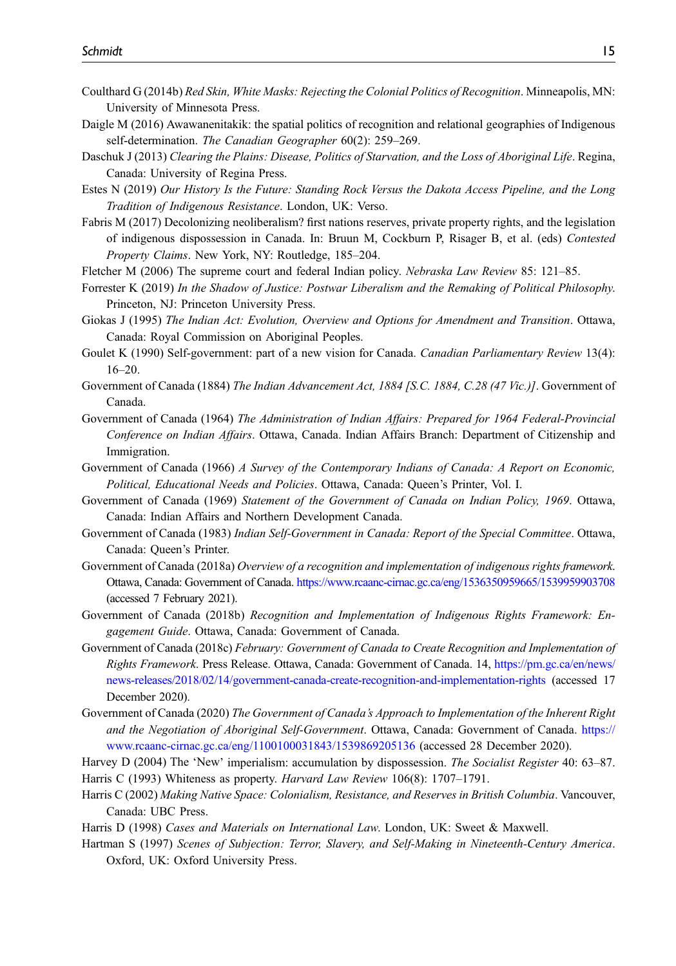- <span id="page-14-3"></span>Coulthard G (2014b) Red Skin, White Masks: Rejecting the Colonial Politics of Recognition. Minneapolis, MN: University of Minnesota Press.
- <span id="page-14-6"></span>Daigle M (2016) Awawanenitakik: the spatial politics of recognition and relational geographies of Indigenous self-determination. The Canadian Geographer 60(2): 259–269.
- <span id="page-14-8"></span>Daschuk J (2013) Clearing the Plains: Disease, Politics of Starvation, and the Loss of Aboriginal Life. Regina, Canada: University of Regina Press.
- <span id="page-14-12"></span>Estes N (2019) Our History Is the Future: Standing Rock Versus the Dakota Access Pipeline, and the Long Tradition of Indigenous Resistance. London, UK: Verso.
- <span id="page-14-21"></span>Fabris M (2017) Decolonizing neoliberalism? first nations reserves, private property rights, and the legislation of indigenous dispossession in Canada. In: Bruun M, Cockburn P, Risager B, et al. (eds) Contested Property Claims. New York, NY: Routledge, 185–204.
- <span id="page-14-17"></span><span id="page-14-11"></span>Fletcher M (2006) The supreme court and federal Indian policy. Nebraska Law Review 85: 121–85.
- Forrester K (2019) In the Shadow of Justice: Postwar Liberalism and the Remaking of Political Philosophy. Princeton, NJ: Princeton University Press.
- <span id="page-14-20"></span>Giokas J (1995) The Indian Act: Evolution, Overview and Options for Amendment and Transition. Ottawa, Canada: Royal Commission on Aboriginal Peoples.
- <span id="page-14-18"></span>Goulet K (1990) Self-government: part of a new vision for Canada. Canadian Parliamentary Review 13(4): 16–20.
- <span id="page-14-13"></span>Government of Canada (1884) The Indian Advancement Act, 1884 [S.C. 1884, C.28 (47 Vic.)]. Government of Canada.
- <span id="page-14-14"></span>Government of Canada (1964) The Administration of Indian Affairs: Prepared for 1964 Federal-Provincial Conference on Indian Affairs. Ottawa, Canada. Indian Affairs Branch: Department of Citizenship and Immigration.
- <span id="page-14-15"></span>Government of Canada (1966) A Survey of the Contemporary Indians of Canada: A Report on Economic, Political, Educational Needs and Policies. Ottawa, Canada: Queen's Printer, Vol. I.
- <span id="page-14-16"></span>Government of Canada (1969) Statement of the Government of Canada on Indian Policy, 1969. Ottawa, Canada: Indian Affairs and Northern Development Canada.
- <span id="page-14-19"></span>Government of Canada (1983) Indian Self-Government in Canada: Report of the Special Committee. Ottawa, Canada: Queen's Printer.
- <span id="page-14-0"></span>Government of Canada (2018a) Overview of a recognition and implementation of indigenous rights framework. Ottawa, Canada: Government of Canada. <https://www.rcaanc-cirnac.gc.ca/eng/1536350959665/1539959903708> (accessed 7 February 2021).
- <span id="page-14-1"></span>Government of Canada (2018b) Recognition and Implementation of Indigenous Rights Framework: Engagement Guide. Ottawa, Canada: Government of Canada.
- <span id="page-14-2"></span>Government of Canada (2018c) February: Government of Canada to Create Recognition and Implementation of Rights Framework. Press Release. Ottawa, Canada: Government of Canada. 14, [https://pm.gc.ca/en/news/](https://pm.gc.ca/en/news/news-releases/2018/02/14/government-canada-create-recognition-and-implementation-rights) [news-releases/2018/02/14/government-canada-create-recognition-and-implementation-rights](https://pm.gc.ca/en/news/news-releases/2018/02/14/government-canada-create-recognition-and-implementation-rights) (accessed 17 December 2020).
- <span id="page-14-4"></span>Government of Canada (2020) The Government of Canada's Approach to Implementation of the Inherent Right and the Negotiation of Aboriginal Self-Government. Ottawa, Canada: Government of Canada. [https://](https://www.rcaanc-cirnac.gc.ca/eng/1100100031843/1539869205136) [www.rcaanc-cirnac.gc.ca/eng/1100100031843/1539869205136](https://www.rcaanc-cirnac.gc.ca/eng/1100100031843/1539869205136) (accessed 28 December 2020).
- <span id="page-14-7"></span>Harvey D (2004) The 'New' imperialism: accumulation by dispossession. The Socialist Register 40: 63–87.
- <span id="page-14-10"></span>Harris C (1993) Whiteness as property. Harvard Law Review 106(8): 1707–1791.
- <span id="page-14-9"></span>Harris C (2002) Making Native Space: Colonialism, Resistance, and Reserves in British Columbia. Vancouver, Canada: UBC Press.
- <span id="page-14-22"></span><span id="page-14-5"></span>Harris D (1998) Cases and Materials on International Law. London, UK: Sweet & Maxwell.
- Hartman S (1997) Scenes of Subjection: Terror, Slavery, and Self-Making in Nineteenth-Century America. Oxford, UK: Oxford University Press.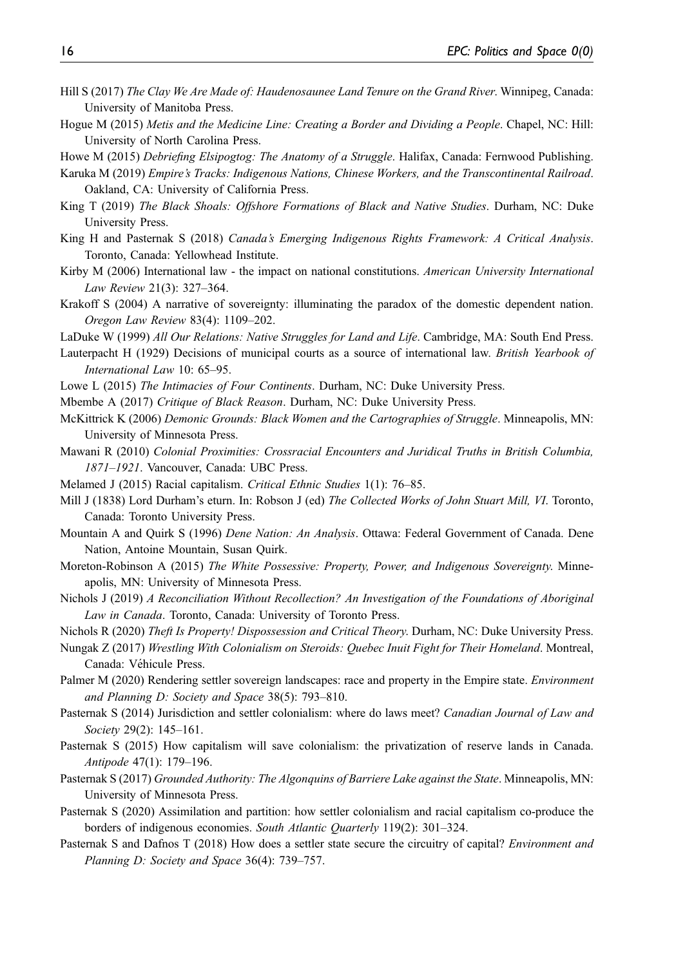- <span id="page-15-22"></span>Hill S (2017) The Clay We Are Made of: Haudenosaunee Land Tenure on the Grand River. Winnipeg, Canada: University of Manitoba Press.
- <span id="page-15-10"></span>Hogue M (2015) Metis and the Medicine Line: Creating a Border and Dividing a People. Chapel, NC: Hill: University of North Carolina Press.

<span id="page-15-24"></span><span id="page-15-11"></span>Howe M (2015) Debriefing Elsipogtog: The Anatomy of a Struggle. Halifax, Canada: Fernwood Publishing.

- Karuka M (2019) Empire's Tracks: Indigenous Nations, Chinese Workers, and the Transcontinental Railroad. Oakland, CA: University of California Press.
- <span id="page-15-18"></span>King T (2019) The Black Shoals: Offshore Formations of Black and Native Studies. Durham, NC: Duke University Press.
- <span id="page-15-0"></span>King H and Pasternak S (2018) Canada's Emerging Indigenous Rights Framework: A Critical Analysis. Toronto, Canada: Yellowhead Institute.
- <span id="page-15-2"></span>Kirby M (2006) International law - the impact on national constitutions. American University International Law Review 21(3): 327–364.
- <span id="page-15-13"></span>Krakoff S (2004) A narrative of sovereignty: illuminating the paradox of the domestic dependent nation. Oregon Law Review 83(4): 1109–202.
- <span id="page-15-9"></span>LaDuke W (1999) All Our Relations: Native Struggles for Land and Life. Cambridge, MA: South End Press.
- <span id="page-15-3"></span>Lauterpacht H (1929) Decisions of municipal courts as a source of international law. British Yearbook of International Law 10: 65–95.
- <span id="page-15-4"></span>Lowe L (2015) The Intimacies of Four Continents. Durham, NC: Duke University Press.
- <span id="page-15-6"></span>Mbembe A (2017) Critique of Black Reason. Durham, NC: Duke University Press.
- <span id="page-15-25"></span>McKittrick K (2006) Demonic Grounds: Black Women and the Cartographies of Struggle. Minneapolis, MN: University of Minnesota Press.
- <span id="page-15-5"></span>Mawani R (2010) Colonial Proximities: Crossracial Encounters and Juridical Truths in British Columbia, 1871–1921. Vancouver, Canada: UBC Press.
- <span id="page-15-20"></span><span id="page-15-14"></span>Melamed J (2015) Racial capitalism. Critical Ethnic Studies 1(1): 76–85.
- Mill J (1838) Lord Durham's eturn. In: Robson J (ed) The Collected Works of John Stuart Mill, VI. Toronto, Canada: Toronto University Press.
- <span id="page-15-17"></span>Mountain A and Quirk S (1996) Dene Nation: An Analysis. Ottawa: Federal Government of Canada. Dene Nation, Antoine Mountain, Susan Quirk.
- <span id="page-15-21"></span>Moreton-Robinson A (2015) The White Possessive: Property, Power, and Indigenous Sovereignty. Minneapolis, MN: University of Minnesota Press.
- <span id="page-15-15"></span>Nichols J (2019) A Reconciliation Without Recollection? An Investigation of the Foundations of Aboriginal Law in Canada. Toronto, Canada: University of Toronto Press.
- <span id="page-15-26"></span><span id="page-15-16"></span>Nichols R (2020) Theft Is Property! Dispossession and Critical Theory. Durham, NC: Duke University Press.
- Nungak Z (2017) Wrestling With Colonialism on Steroids: Quebec Inuit Fight for Their Homeland. Montreal, Canada: Véhicule Press.
- <span id="page-15-1"></span>Palmer M (2020) Rendering settler sovereign landscapes: race and property in the Empire state. Environment and Planning D: Society and Space 38(5): 793–810.
- <span id="page-15-7"></span>Pasternak S (2014) Jurisdiction and settler colonialism: where do laws meet? Canadian Journal of Law and Society 29(2): 145–161.
- <span id="page-15-23"></span>Pasternak S (2015) How capitalism will save colonialism: the privatization of reserve lands in Canada. Antipode 47(1): 179–196.
- <span id="page-15-8"></span>Pasternak S (2017) Grounded Authority: The Algonquins of Barriere Lake against the State. Minneapolis, MN: University of Minnesota Press.
- <span id="page-15-19"></span>Pasternak S (2020) Assimilation and partition: how settler colonialism and racial capitalism co-produce the borders of indigenous economies. South Atlantic Quarterly 119(2): 301-324.
- <span id="page-15-12"></span>Pasternak S and Dafnos T (2018) How does a settler state secure the circuitry of capital? *Environment and* Planning D: Society and Space 36(4): 739–757.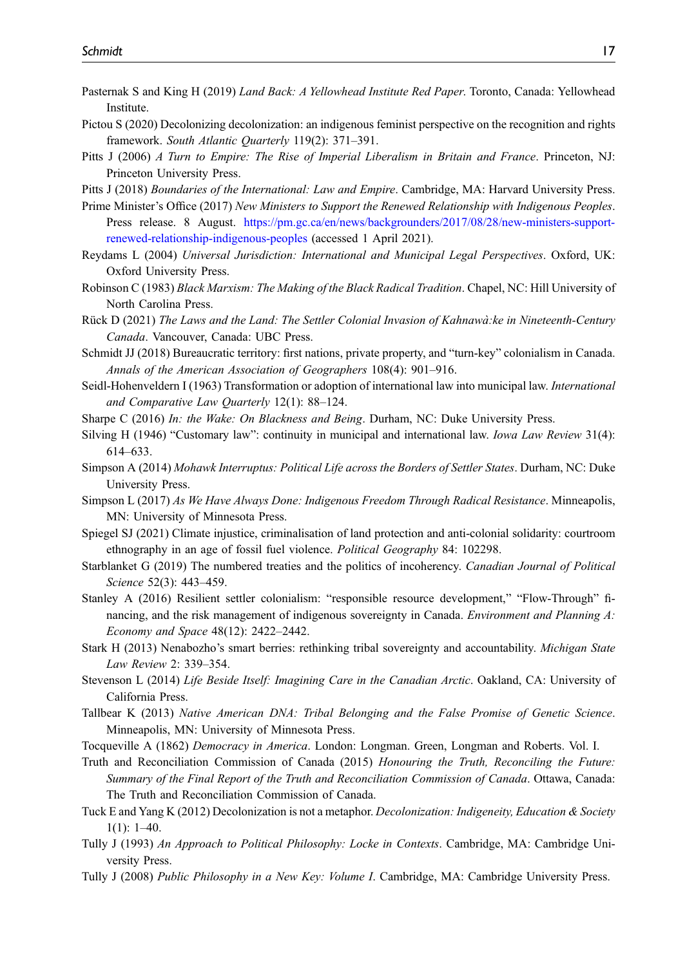- <span id="page-16-20"></span>Pasternak S and King H (2019) Land Back: A Yellowhead Institute Red Paper. Toronto, Canada: Yellowhead Institute.
- <span id="page-16-13"></span>Pictou S (2020) Decolonizing decolonization: an indigenous feminist perspective on the recognition and rights framework. South Atlantic Quarterly 119(2): 371–391.
- <span id="page-16-10"></span>Pitts J (2006) A Turn to Empire: The Rise of Imperial Liberalism in Britain and France. Princeton, NJ: Princeton University Press.
- <span id="page-16-9"></span><span id="page-16-4"></span>Pitts J (2018) Boundaries of the International: Law and Empire. Cambridge, MA: Harvard University Press.

Prime Minister's Office (2017) New Ministers to Support the Renewed Relationship with Indigenous Peoples. Press release. 8 August. [https://pm.gc.ca/en/news/backgrounders/2017/08/28/new-ministers-support](https://pm.gc.ca/en/news/backgrounders/2017/08/28/new-ministers-support-renewed-relationship-indigenous-peoples)[renewed-relationship-indigenous-peoples](https://pm.gc.ca/en/news/backgrounders/2017/08/28/new-ministers-support-renewed-relationship-indigenous-peoples) (accessed 1 April 2021).

- <span id="page-16-6"></span>Reydams L (2004) Universal Jurisdiction: International and Municipal Legal Perspectives. Oxford, UK: Oxford University Press.
- <span id="page-16-17"></span>Robinson C (1983) Black Marxism: The Making of the Black Radical Tradition. Chapel, NC: Hill University of North Carolina Press.
- <span id="page-16-16"></span>Rück D (2021) The Laws and the Land: The Settler Colonial Invasion of Kahnawa:ke in Nineteenth-Century ` Canada. Vancouver, Canada: UBC Press.
- <span id="page-16-18"></span>Schmidt JJ (2018) Bureaucratic territory: first nations, private property, and "turn-key" colonialism in Canada. Annals of the American Association of Geographers 108(4): 901–916.
- <span id="page-16-8"></span>Seidl-Hohenveldern I (1963) Transformation or adoption of international law into municipal law. International and Comparative Law Quarterly 12(1): 88–124.
- <span id="page-16-22"></span>Sharpe C (2016) In: the Wake: On Blackness and Being. Durham, NC: Duke University Press.
- <span id="page-16-7"></span>Silving H (1946) "Customary law": continuity in municipal and international law. Iowa Law Review 31(4): 614–633.
- <span id="page-16-14"></span>Simpson A (2014) Mohawk Interruptus: Political Life across the Borders of Settler States. Durham, NC: Duke University Press.
- <span id="page-16-24"></span>Simpson L (2017) As We Have Always Done: Indigenous Freedom Through Radical Resistance. Minneapolis, MN: University of Minnesota Press.
- <span id="page-16-19"></span>Spiegel SJ (2021) Climate injustice, criminalisation of land protection and anti-colonial solidarity: courtroom ethnography in an age of fossil fuel violence. Political Geography 84: 102298.
- <span id="page-16-0"></span>Starblanket G (2019) The numbered treaties and the politics of incoherency. Canadian Journal of Political Science 52(3): 443–459.
- <span id="page-16-21"></span>Stanley A (2016) Resilient settler colonialism: "responsible resource development," "Flow-Through" financing, and the risk management of indigenous sovereignty in Canada. Environment and Planning A: Economy and Space 48(12): 2422–2442.
- <span id="page-16-1"></span>Stark H (2013) Nenabozho's smart berries: rethinking tribal sovereignty and accountability. *Michigan State* Law Review 2: 339–354.
- <span id="page-16-5"></span>Stevenson L (2014) Life Beside Itself: Imagining Care in the Canadian Arctic. Oakland, CA: University of California Press.
- <span id="page-16-15"></span>Tallbear K (2013) Native American DNA: Tribal Belonging and the False Promise of Genetic Science. Minneapolis, MN: University of Minnesota Press.
- <span id="page-16-11"></span>Tocqueville A (1862) Democracy in America. London: Longman. Green, Longman and Roberts. Vol. I.
- <span id="page-16-23"></span>Truth and Reconciliation Commission of Canada (2015) Honouring the Truth, Reconciling the Future: Summary of the Final Report of the Truth and Reconciliation Commission of Canada. Ottawa, Canada: The Truth and Reconciliation Commission of Canada.
- <span id="page-16-3"></span>Tuck E and Yang K (2012) Decolonization is not a metaphor. *Decolonization: Indigeneity, Education & Society*  $1(1): 1-40.$
- <span id="page-16-2"></span>Tully J (1993) An Approach to Political Philosophy: Locke in Contexts. Cambridge, MA: Cambridge University Press.
- <span id="page-16-12"></span>Tully J (2008) Public Philosophy in a New Key: Volume I. Cambridge, MA: Cambridge University Press.